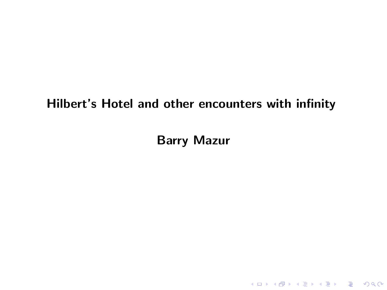#### <span id="page-0-0"></span>Hilbert's Hotel and other encounters with infinity

Barry Mazur

KO K K Ø K K E K K E K V K K K K K K K K K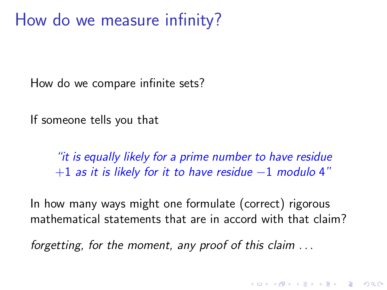### How do we measure infinity?

How do we compare infinite sets?

If someone tells you that

"it is equally likely for a prime number to have residue  $+1$  as it is likely for it to have residue  $-1$  modulo 4"

In how many ways might one formulate (correct) rigorous mathematical statements that are in accord with that claim?

**KORKAR KERKER SAGA** 

forgetting, for the moment, any proof of this claim . . .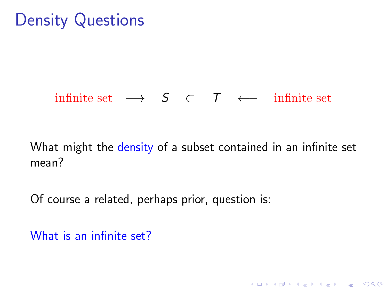### Density Questions

#### infinite set  $\longrightarrow$   $S$  ⊂  $T$   $\longleftarrow$  infinite set

What might the density of a subset contained in an infinite set mean?

K ロ ▶ K 個 ▶ K 할 ▶ K 할 ▶ 이 할 → 이익 @

Of course a related, perhaps prior, question is:

What is an infinite set?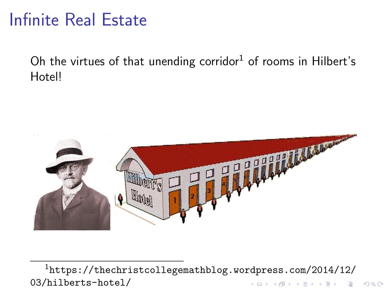### Infinite Real Estate

Oh the virtues of that unending corridor<sup>1</sup> of rooms in Hilbert's Hotel!



<sup>1</sup>[https://thechristcollegemathblog.wordpress.com/2014/12/](https://thechristcollegemathblog.wordpress.com/2014/12/03/hilberts-hotel/) [03/hilberts-hotel/](https://thechristcollegemathblog.wordpress.com/2014/12/03/hilberts-hotel/)K ロ ▶ K 個 ▶ K 할 ▶ K 할 ▶ ( 할 → ) 익 Q Q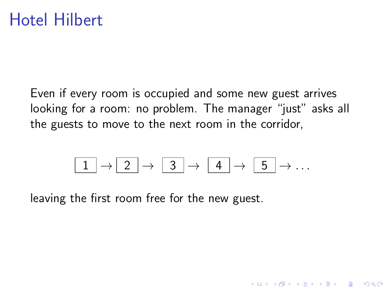Even if every room is occupied and some new guest arrives looking for a room: no problem. The manager "just" asks all the guests to move to the next room in the corridor,

$$
\boxed{1} \rightarrow \boxed{2} \rightarrow \boxed{3} \rightarrow \boxed{4} \rightarrow \boxed{5} \rightarrow \ldots
$$

K ロ ▶ K 個 ▶ K 할 ▶ K 할 ▶ 이 할 → 9 Q Q →

leaving the first room free for the new guest.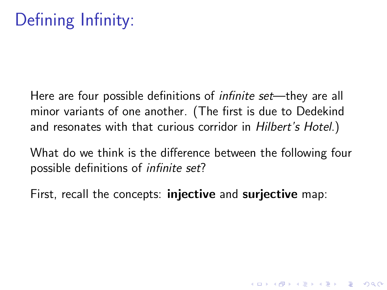Here are four possible definitions of *infinite set*—they are all minor variants of one another. (The first is due to Dedekind and resonates with that curious corridor in Hilbert's Hotel.)

What do we think is the difference between the following four possible definitions of infinite set?

**KORKAR KERKER SAGA** 

First, recall the concepts: **injective** and **surjective** map: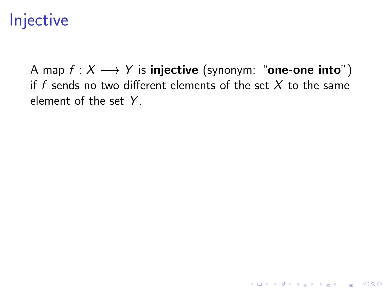## Injective

A map  $f : X \longrightarrow Y$  is injective (synonym: "one-one into") if f sends no two different elements of the set  $X$  to the same element of the set Y.

K ロ ▶ K 個 ▶ K 할 ▶ K 할 ▶ 이 할 → 9 Q Q →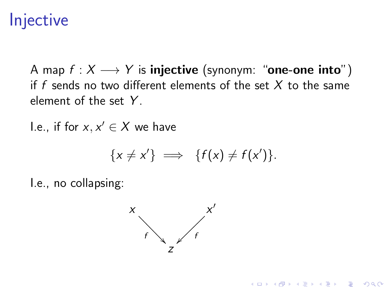## **Injective**

A map  $f : X \longrightarrow Y$  is injective (synonym: "one-one into") if f sends no two different elements of the set  $X$  to the same element of the set Y.

I.e., if for  $x, x' \in X$  we have

$$
\{x \neq x'\} \implies \{f(x) \neq f(x')\}.
$$

**KORK EXTERNE PROVIDE** 

I.e., no collapsing:

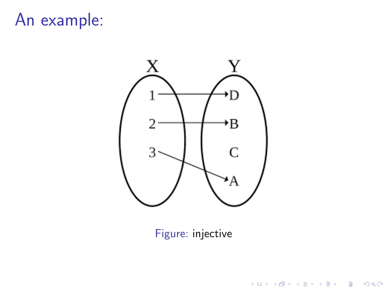# An example:



#### Figure: injective

**Kロトメ部トメミトメミト ミニのQC**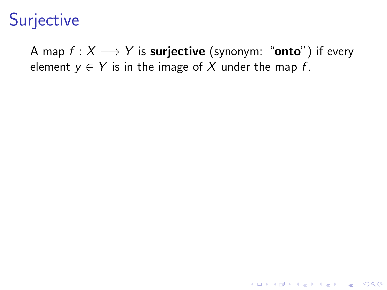## Surjective

A map  $f : X \longrightarrow Y$  is **surjective** (synonym: "**onto**") if every element  $y \in Y$  is in the image of X under the map f.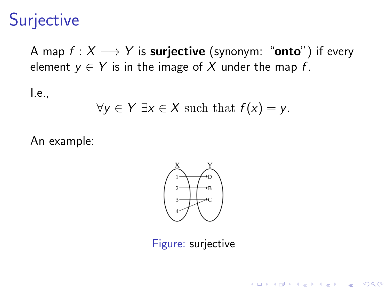## **Surjective**

A map  $f: X \longrightarrow Y$  is **surjective** (synonym: "**onto**") if every element  $y \in Y$  is in the image of X under the map f.

I.e.,

$$
\forall y \in Y \exists x \in X \text{ such that } f(x) = y.
$$

An example:



Figure: surjective

**KORKARYKERKER POLO**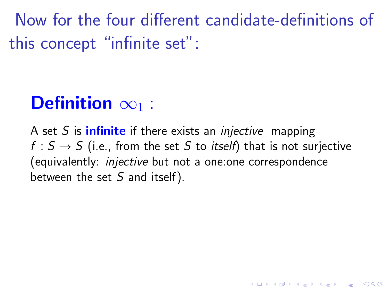Now for the four different candidate-definitions of this concept "infinite set":

# Definition  $\infty_1$  :

A set S is **infinite** if there exists an *injective* mapping  $f : S \rightarrow S$  (i.e., from the set S to *itself*) that is not surjective (equivalently: injective but not a one:one correspondence between the set  $S$  and itself).

K ロ ▶ K 個 ▶ K 할 ▶ K 할 ▶ 이 할 → 9 Q Q →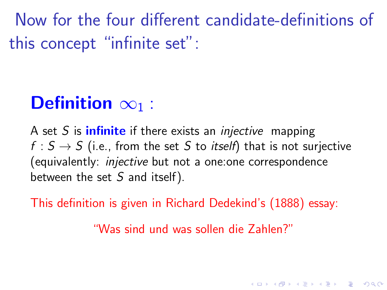Now for the four different candidate-definitions of this concept "infinite set":

# Definition  $\infty_1$  :

A set S is **infinite** if there exists an *injective* mapping  $f : S \rightarrow S$  (i.e., from the set S to *itself*) that is not surjective (equivalently: injective but not a one:one correspondence between the set  $S$  and itself).

This definition is given in Richard Dedekind's (1888) essay:

"Was sind und was sollen die Zahlen?"

KID KA KERKER KID KO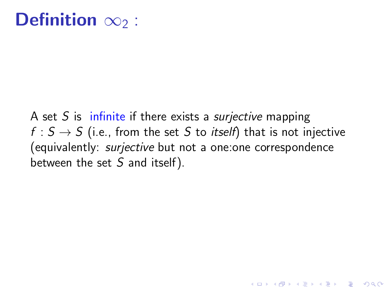## Definition  $\infty_2$  :

A set S is infinite if there exists a *surjective* mapping  $f : S \rightarrow S$  (i.e., from the set S to *itself*) that is not injective (equivalently: surjective but not a one:one correspondence between the set  $S$  and itself).

**KORK ERKER ADAM ADA**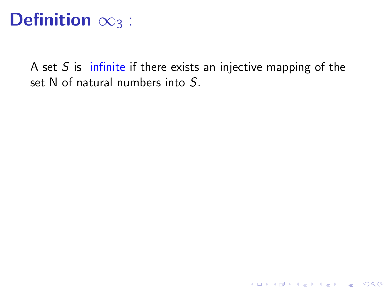# Definition  $\infty_3$  :

A set  $S$  is infinite if there exists an injective mapping of the set N of natural numbers into S.

K ロ ▶ K @ ▶ K 할 ▶ K 할 ▶ | 할 | © 9 Q @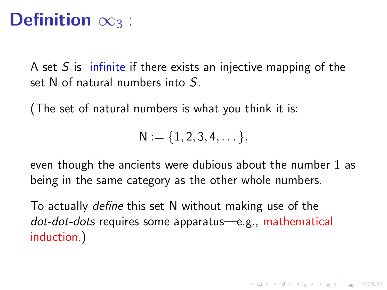# Definition  $\infty_3$  :

A set  $S$  is infinite if there exists an injective mapping of the set N of natural numbers into S.

(The set of natural numbers is what you think it is:

$$
N:=\{1,2,3,4,\dots\},
$$

even though the ancients were dubious about the number 1 as being in the same category as the other whole numbers.

KELK KØLK VELKEN EL 1990

To actually define this set N without making use of the dot-dot-dots requires some apparatus—e.g., mathematical induction.)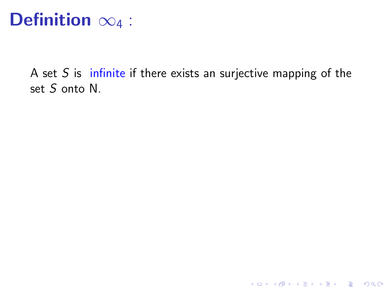# Definition  $\infty_4$  :

A set  $S$  is infinite if there exists an surjective mapping of the set S onto N.

K ロ ▶ K @ ▶ K 할 ▶ K 할 ▶ | 할 | © 9 Q @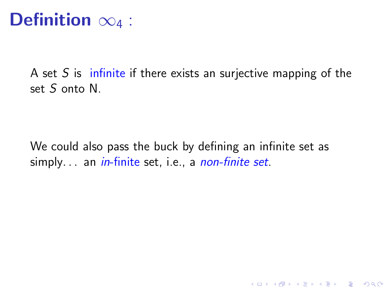# Definition  $\infty_4$  :

A set S is infinite if there exists an surjective mapping of the set S onto N.

We could also pass the buck by defining an infinite set as simply... an *in*-finite set, i.e., a *non-finite set*.

K ロ ▶ K 個 ▶ K 할 ▶ K 할 ▶ 이 할 → 9 Q Q →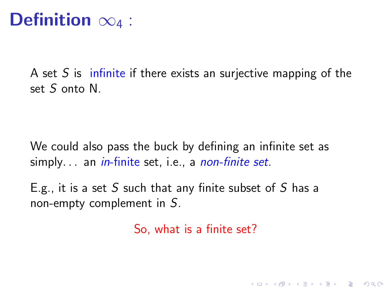# Definition  $\infty_4$  :

A set S is infinite if there exists an surjective mapping of the set S onto N.

We could also pass the buck by defining an infinite set as simply... an *in*-finite set, i.e., a *non-finite set*.

E.g., it is a set S such that any finite subset of S has a non-empty complement in S.

So, what is a finite set?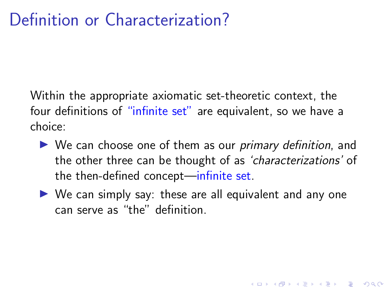Within the appropriate axiomatic set-theoretic context, the four definitions of "infinite set" are equivalent, so we have a choice:

- $\triangleright$  We can choose one of them as our *primary definition*, and the other three can be thought of as 'characterizations' of the then-defined concept—infinite set.
- $\triangleright$  We can simply say: these are all equivalent and any one can serve as "the" definition.

**KORKARYKERKER POLO**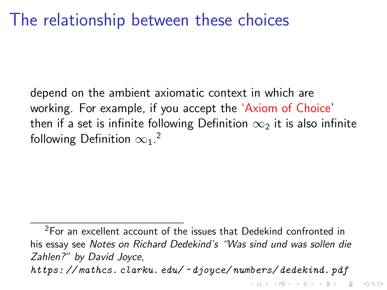depend on the ambient axiomatic context in which are working. For example, if you accept the 'Axiom of Choice' then if a set is infinite following Definition  $\infty_2$  it is also infinite following Definition  $\infty_1.$ <sup>2</sup>

<sup>&</sup>lt;sup>2</sup>For an excellent account of the issues that Dedekind confronted in his essay see Notes on Richard Dedekind's "Was sind und was sollen die Zahlen?" by David Joyce, https: // mathcs. clarku. edu/ ~ [djoyce/ numbers/ dedekind. pdf](https://mathcs.clarku.edu/~djoyce/numbers/dedekind.pdf )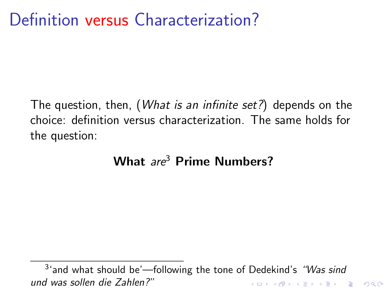The question, then, (What is an infinite set?) depends on the choice: definition versus characterization. The same holds for the question:

#### What are<sup>3</sup> Prime Numbers?

<sup>3</sup>'and what should be'—following the tone of Dedekind's "Was sind und was sollen die Zahlen?"**KORK ERREPADEMENT**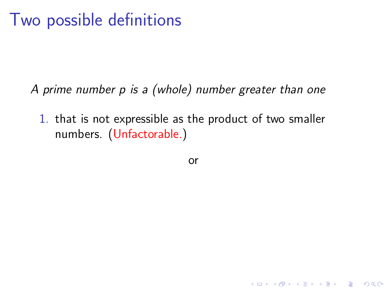### Two possible definitions

A prime number p is a (whole) number greater than one

1. that is not expressible as the product of two smaller numbers. (Unfactorable.)

or

**KORKARYKERKER POLO**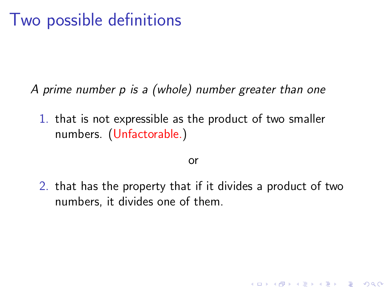### Two possible definitions

A prime number p is a (whole) number greater than one

1. that is not expressible as the product of two smaller numbers. (Unfactorable.)

#### or

2. that has the property that if it divides a product of two numbers, it divides one of them.

**KORKARYKERKER POLO**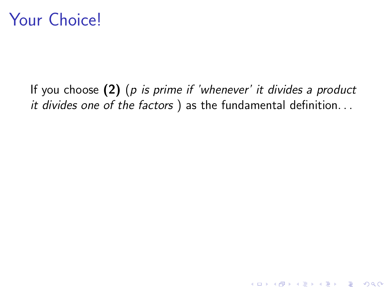### Your Choice!

If you choose  $(2)$  (p is prime if 'whenever' it divides a product it divides one of the factors ) as the fundamental definition...

K ロ ▶ K 個 ▶ K 할 ▶ K 할 ▶ 이 할 → 9 Q Q →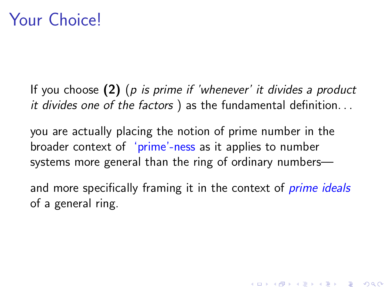If you choose  $(2)$  (p is prime if 'whenever' it divides a product it divides one of the factors ) as the fundamental definition. . .

you are actually placing the notion of prime number in the broader context of 'prime'-ness as it applies to number systems more general than the ring of ordinary numbers—

and more specifically framing it in the context of *prime ideals* of a general ring.

**KORKAR KERKER SAGA**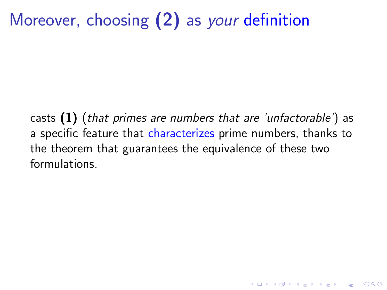# Moreover, choosing (2) as *your* definition

casts  $(1)$  (that primes are numbers that are 'unfactorable') as a specific feature that characterizes prime numbers, thanks to the theorem that guarantees the equivalence of these two formulations.

K ロ ▶ K 個 ▶ K 할 ▶ K 할 ▶ 이 할 → 9 Q Q →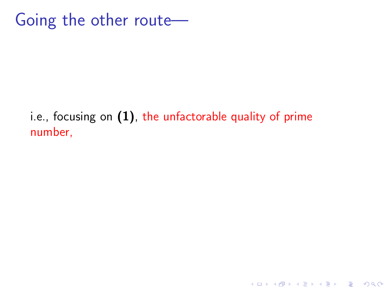### Going the other route—

#### i.e., focusing on  $(1)$ , the unfactorable quality of prime number,

K ロ ▶ K 個 ▶ K 할 ▶ K 할 ▶ 이 할 → 9 Q Q →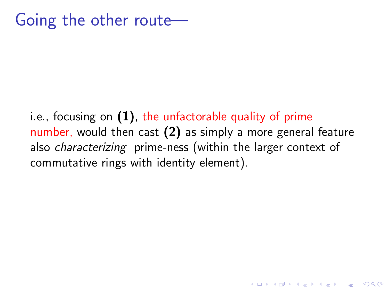i.e., focusing on  $(1)$ , the unfactorable quality of prime number, would then cast (2) as simply a more general feature also characterizing prime-ness (within the larger context of commutative rings with identity element).

**KORKARYKERKER POLO**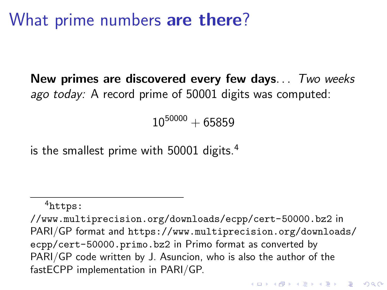### What prime numbers are there?

New primes are discovered every few days... Two weeks ago today: A record prime of 50001 digits was computed:

 $10^{50000} + 65859$ 

is the smallest prime with 50001 digits.<sup>4</sup>

<sup>4</sup>[https:](https://www.multiprecision.org/downloads/ecpp/cert-50000.bz2)

[<sup>//</sup>www.multiprecision.org/downloads/ecpp/cert-50000.bz2](https://www.multiprecision.org/downloads/ecpp/cert-50000.bz2) in PARI/GP format and [https://www.multiprecision.org/downloads/]( https://www.multiprecision.org/downloads/ecpp/cert-50000.primo.bz2) [ecpp/cert-50000.primo.bz2]( https://www.multiprecision.org/downloads/ecpp/cert-50000.primo.bz2) in Primo format as converted by PARI/GP code written by J. Asuncion, who is also the author of the fastECPP implementation in PARI/GP.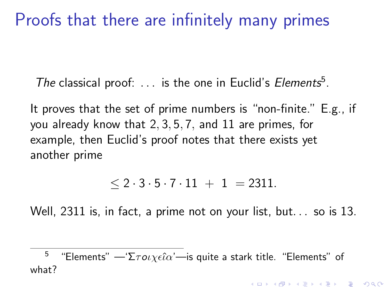### Proofs that there are infinitely many primes

The classical proof:  $\dots$  is the one in Euclid's Elements<sup>5</sup>.

It proves that the set of prime numbers is "non-finite." E.g., if you already know that 2, 3, 5, 7, and 11 are primes, for example, then Euclid's proof notes that there exists yet another prime

 $< 2 \cdot 3 \cdot 5 \cdot 7 \cdot 11 + 1 = 2311.$ 

Well, 2311 is, in fact, a prime not on your list, but... so is 13.

<sup>5</sup> "Elements" — 'Σ $\tau$ οιχεί $\alpha$ '—is quite a stark title. "Elements" of what?

**KORKAR KERKER SAGA**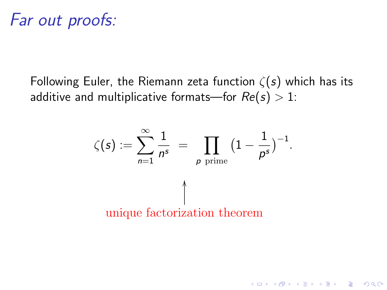Following Euler, the Riemann zeta function  $\zeta(s)$  which has its additive and multiplicative formats—for  $Re(s) > 1$ :



**KORKARYKERKER POLO**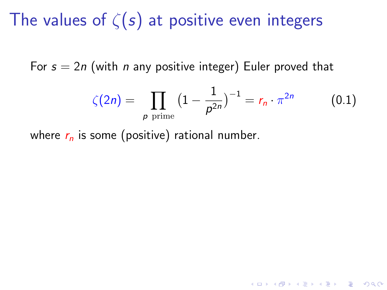# The values of  $\zeta(s)$  at positive even integers

For  $s = 2n$  (with *n* any positive integer) Euler proved that

$$
\zeta(2n) = \prod_{p \text{ prime}} \left(1 - \frac{1}{p^{2n}}\right)^{-1} = r_n \cdot \pi^{2n} \tag{0.1}
$$

**KORKARYKERKER POLO** 

where  $r_n$  is some (positive) rational number.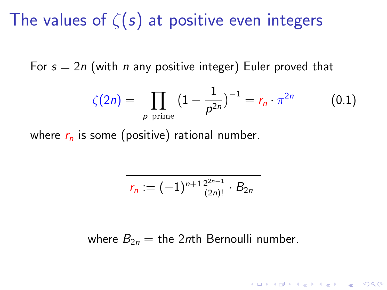## The values of  $\zeta(s)$  at positive even integers

For  $s = 2n$  (with *n* any positive integer) Euler proved that

$$
\zeta(2n) = \prod_{p \text{ prime}} \left(1 - \frac{1}{p^{2n}}\right)^{-1} = r_n \cdot \pi^{2n} \tag{0.1}
$$

K ロ ▶ K 個 ▶ K 할 ▶ K 할 ▶ 이 할 → 이익 @

where  $r_n$  is some (positive) rational number.

$$
r_n := (-1)^{n+1} \frac{2^{2n-1}}{(2n)!} \cdot B_{2n}
$$

where  $B_{2n} =$  the 2nth Bernoulli number.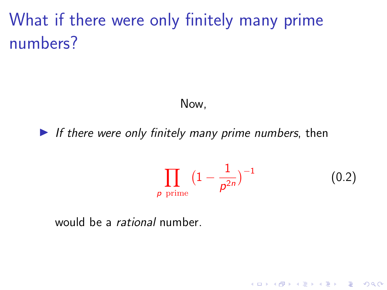# What if there were only finitely many prime numbers?

#### Now,

If there were only finitely many prime numbers, then

$$
\prod_{p \text{ prime}} \left(1 - \frac{1}{p^{2n}}\right)^{-1} \tag{0.2}
$$

K ロ ▶ K 個 ▶ K 할 ▶ K 할 ▶ 이 할 → 이익 @

would be a rational number.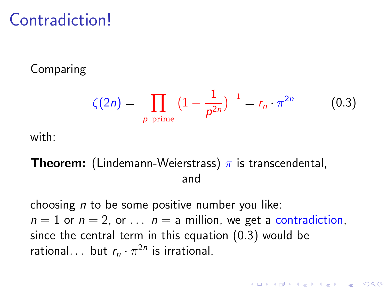### **Contradiction!**

#### Comparing

$$
\zeta(2n) = \prod_{p \text{ prime}} \left(1 - \frac{1}{p^{2n}}\right)^{-1} = r_n \cdot \pi^{2n} \tag{0.3}
$$

**KORK EXTERNE PROVIDE** 

with:

#### **Theorem:** (Lindemann-Weierstrass)  $\pi$  is transcendental, and

choosing  $n$  to be some positive number you like:  $n = 1$  or  $n = 2$ , or  $\ldots$   $n = a$  million, we get a contradiction, since the central term in this equation (0.3) would be rational... but  $r_n \cdot \pi^{2n}$  is irrational.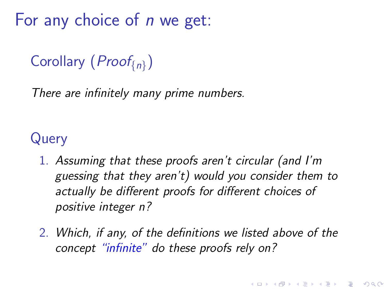<span id="page-36-0"></span>For any choice of  $n$  we get:

### Corollary ( $Proof_{n}$ )

There are infinitely many prime numbers.

### Query

- 1. Assuming that these proofs aren't circular (and I'm guessing that they aren't) would you consider them to actually be different proofs for different choices of positive integer n?
- 2. Which, if any, of the definitions we listed above of the concept "infinite" do these proofs rely on?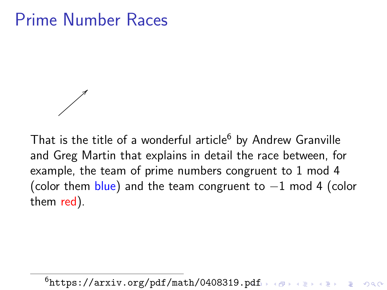### Prime Number Races



That is the title of a wonderful article $6$  by Andrew Granville and Greg Martin that explains in detail the race between, for example, the team of prime numbers congruent to 1 mod 4 (color them  $blue$ ) and the team congruent to  $-1$  mod 4 (color them red).

 $6$ <https://arxiv.org/pdf/math/0408319.pdf>  $\rightarrow$  (axis a server) on  $\circ$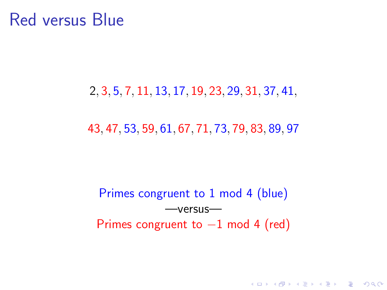### Red versus Blue

#### 2, 3, 5, 7, 11, 13, 17, 19, 23, 29, 31, 37, 41,

#### 43, 47, 53, 59, 61, 67, 71, 73, 79, 83, 89, 97

### Primes congruent to 1 mod 4 (blue) —versus— Primes congruent to  $-1$  mod 4 (red)

**KORKARYKERKER POLO**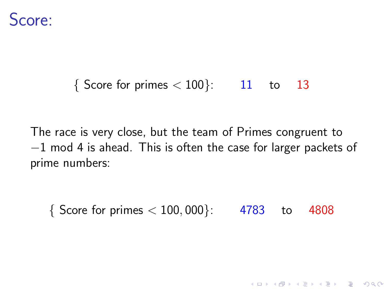

#### $\{$  Score for primes  $< 100$ }: 11 to 13

The race is very close, but the team of Primes congruent to −1 mod 4 is ahead. This is often the case for larger packets of prime numbers:

 $\{$  Score for primes  $< 100,000$ : 4783 to 4808

K ロ ▶ K 個 ▶ K 할 ▶ K 할 ▶ 이 할 → 이익 @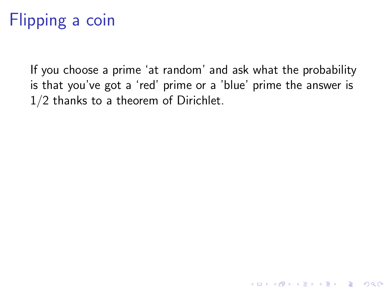# Flipping a coin

If you choose a prime 'at random' and ask what the probability is that you've got a 'red' prime or a 'blue' prime the answer is 1/2 thanks to a theorem of Dirichlet.

K ロ ▶ K 個 ▶ K 할 ▶ K 할 ▶ 이 할 → 9 Q Q →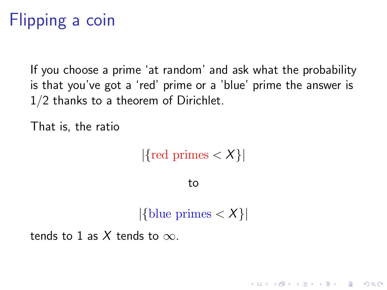# <span id="page-41-0"></span>Flipping a coin

If you choose a prime 'at random' and ask what the probability is that you've got a 'red' prime or a 'blue' prime the answer is 1/2 thanks to a theorem of Dirichlet.

That is, the ratio

 $|\{\text{red primes} < X\}|$ 

to

 $|\{\text{blue primes} < X\}|$ 

**KORKARYKERKER POLO** 

tends to 1 as X tends to  $\infty$ .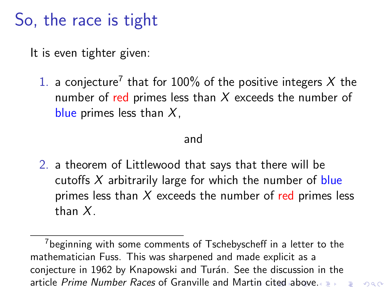## <span id="page-42-0"></span>So, the race is tight

It is even tighter given:

1. a conjecture<sup>7</sup> that for 100% of the positive integers X the number of red primes less than  $X$  exceeds the number of blue primes less than  $X$ ,

#### and

2. a theorem of Littlewood that says that there will be cutoffs  $X$  arbitrarily large for which the number of blue primes less than  $X$  exceeds the number of red primes less than X.

 $000$ 

 $7$ beginning with some comments of Tschebyscheff in a letter to the mathematician Fuss. This was sharpened and made explicit as a conjecture in 1962 by Knapowski and Turán. See the discussion in the a[rti](#page-41-0)cle Prime Number Races of Granville and Martin [c](#page-43-0)[it](#page-41-0)[ed](#page-42-0) [a](#page-43-0)[bo](#page-0-0)[ve](#page-63-0)[.](#page-0-0)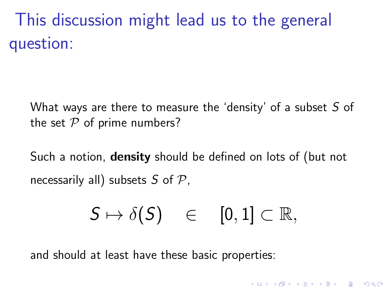<span id="page-43-0"></span>This discussion might lead us to the general question:

What ways are there to measure the 'density' of a subset  $S$  of the set  $P$  of prime numbers?

Such a notion, **density** should be defined on lots of (but not necessarily all) subsets S of  $P$ .

$$
S \mapsto \delta(S) \quad \in \quad [0,1] \subset \mathbb{R},
$$

and should at least have these basic properties: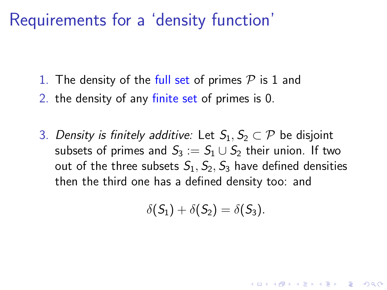### Requirements for a 'density function'

- 1. The density of the full set of primes  $P$  is 1 and
- 2. the density of any finite set of primes is 0.
- 3. Density is finitely additive: Let  $S_1, S_2 \subset \mathcal{P}$  be disjoint subsets of primes and  $S_3 := S_1 \cup S_2$  their union. If two out of the three subsets  $S_1$ ,  $S_2$ ,  $S_3$  have defined densities then the third one has a defined density too: and

$$
\delta(S_1)+\delta(S_2)=\delta(S_3).
$$

**KORKAR KERKER SAGA**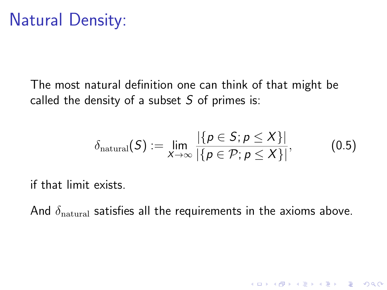The most natural definition one can think of that might be called the density of a subset  $S$  of primes is:

$$
\delta_{\text{natural}}(\mathcal{S}) := \lim_{X \to \infty} \frac{|\{p \in \mathcal{S}; p \leq X\}|}{|\{p \in \mathcal{P}; p \leq X\}|}, \tag{0.5}
$$

K ロ ▶ K 個 ▶ K 할 ▶ K 할 ▶ 이 할 → 9 Q Q →

if that limit exists.

And  $\delta_{\text{natural}}$  satisfies all the requirements in the axioms above.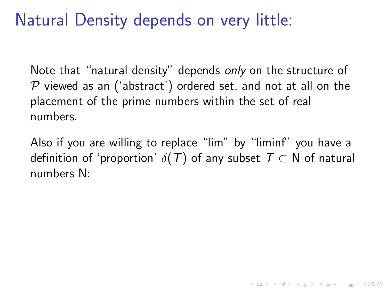## Natural Density depends on very little:

Note that "natural density" depends only on the structure of  $P$  viewed as an ('abstract') ordered set, and not at all on the placement of the prime numbers within the set of real numbers.

Also if you are willing to replace "lim" by "liminf" you have a definition of 'proportion'  $\delta(T)$  of any subset  $T \subset N$  of natural numbers N:

**KORKAR KERKER SAGA**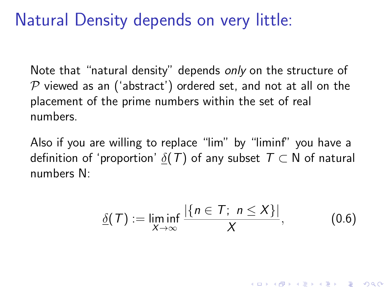### Natural Density depends on very little:

Note that "natural density" depends only on the structure of  $P$  viewed as an ('abstract') ordered set, and not at all on the placement of the prime numbers within the set of real numbers.

Also if you are willing to replace "lim" by "liminf" you have a definition of 'proportion'  $\delta(T)$  of any subset  $T \subset N$  of natural numbers N:

$$
\underline{\delta}(\mathcal{T}) := \liminf_{X \to \infty} \frac{|\{n \in \mathcal{T}; n \le X\}|}{X}, \tag{0.6}
$$

**KORKAR KERKER SAGA**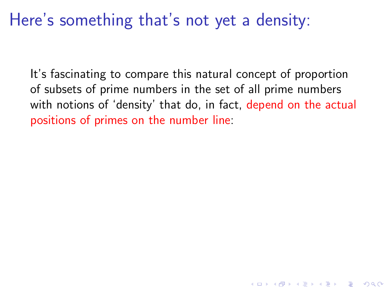### Here's something that's not yet a density:

It's fascinating to compare this natural concept of proportion of subsets of prime numbers in the set of all prime numbers with notions of 'density' that do, in fact, depend on the actual positions of primes on the number line: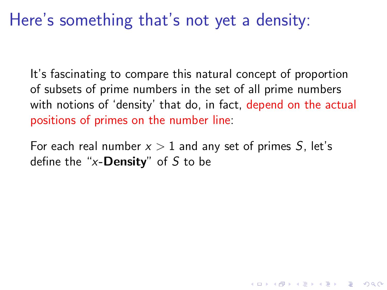### Here's something that's not yet a density:

It's fascinating to compare this natural concept of proportion of subsets of prime numbers in the set of all prime numbers with notions of 'density' that do, in fact, depend on the actual positions of primes on the number line:

For each real number  $x > 1$  and any set of primes S, let's define the "x-**Density**" of S to be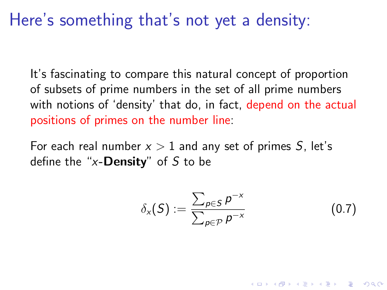### Here's something that's not yet a density:

It's fascinating to compare this natural concept of proportion of subsets of prime numbers in the set of all prime numbers with notions of 'density' that do, in fact, depend on the actual positions of primes on the number line:

For each real number  $x > 1$  and any set of primes S, let's define the "x-**Density**" of S to be

$$
\delta_{\mathsf{x}}(S) := \frac{\sum_{p \in S} p^{-\mathsf{x}}}{\sum_{p \in \mathcal{P}} p^{-\mathsf{x}}} \tag{0.7}
$$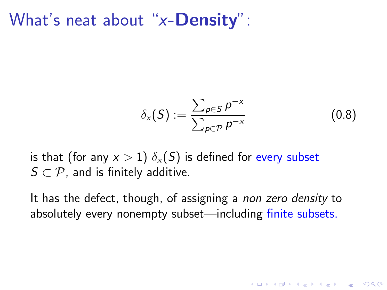What's neat about "x-**Density**":

$$
\delta_{\mathsf{x}}(\mathsf{S}) := \frac{\sum_{p \in \mathsf{S}} p^{-\mathsf{x}}}{\sum_{p \in \mathcal{P}} p^{-\mathsf{x}}} \tag{0.8}
$$

**KORKARYKERKER POLO** 

is that (for any  $x > 1$ )  $\delta_x(S)$  is defined for every subset  $S \subset \mathcal{P}$ , and is finitely additive.

It has the defect, though, of assigning a non zero density to absolutely every nonempty subset—including finite subsets.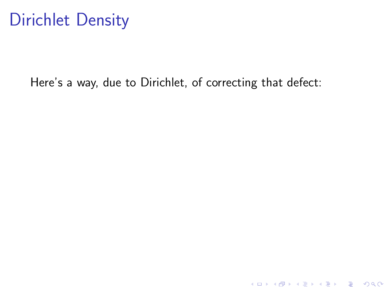## Dirichlet Density

Here's a way, due to Dirichlet, of correcting that defect:

**Kロトメ部トメミトメミト ミニのQC**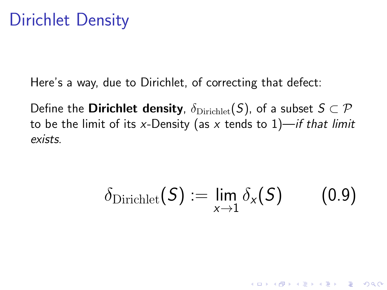Here's a way, due to Dirichlet, of correcting that defect:

Define the **Dirichlet density**,  $\delta_{\text{Dirichlet}}(S)$ , of a subset  $S \subset \mathcal{P}$ to be the limit of its x-Density (as x tends to  $1$ )—if that limit exists.

$$
\delta_{\text{Dirichlet}}(\mathcal{S}) := \lim_{x \to 1} \delta_x(\mathcal{S}) \qquad (0.9)
$$

K ロ ▶ K 個 ▶ K 할 ▶ K 할 ▶ 이 할 → 9 Q Q →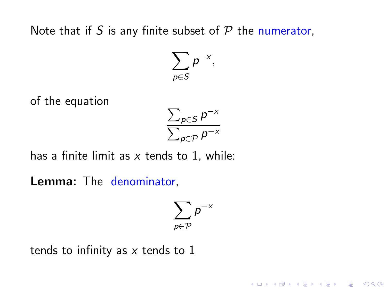Note that if S is any finite subset of  $P$  the numerator,

 $\sum$ p∈S  $p^{-x},$ 

of the equation

$$
\frac{\sum_{p \in S} p^{-x}}{\sum_{p \in \mathcal{P}} p^{-x}}
$$

has a finite limit as  $x$  tends to 1, while:

Lemma: The denominator,

$$
\sum_{\rho\in\mathcal{P}}\rho^{-\varkappa}
$$

K ロ ▶ K 個 ▶ K 할 ▶ K 할 ▶ 이 할 → 9 Q Q →

tends to infinity as  $x$  tends to 1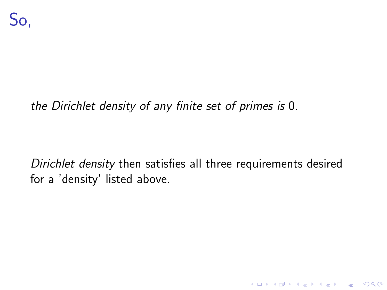#### the Dirichlet density of any finite set of primes is 0.

Dirichlet density then satisfies all three requirements desired for a 'density' listed above.

K ロ ▶ K 個 ▶ K 할 ▶ K 할 ▶ 이 할 → 9 Q Q →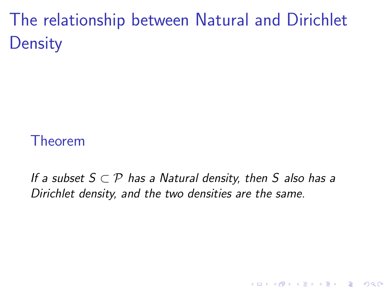The relationship between Natural and Dirichlet **Density** 

### Theorem

If a subset  $S \subset \mathcal{P}$  has a Natural density, then S also has a Dirichlet density, and the two densities are the same.

**KORKARYKERKER POLO**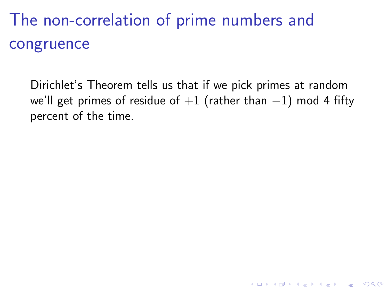The non-correlation of prime numbers and congruence

Dirichlet's Theorem tells us that if we pick primes at random we'll get primes of residue of  $+1$  (rather than  $-1$ ) mod 4 fifty percent of the time.

**KORKARYKERKER POLO**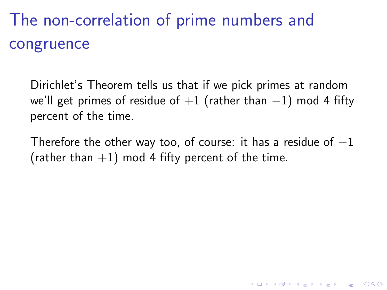# The non-correlation of prime numbers and congruence

Dirichlet's Theorem tells us that if we pick primes at random we'll get primes of residue of  $+1$  (rather than  $-1$ ) mod 4 fifty percent of the time.

Therefore the other way too, of course: it has a residue of  $-1$ (rather than  $+1$ ) mod 4 fifty percent of the time.

K ロ ▶ K 個 ▶ K 할 ▶ K 할 ▶ 이 할 → 이익 @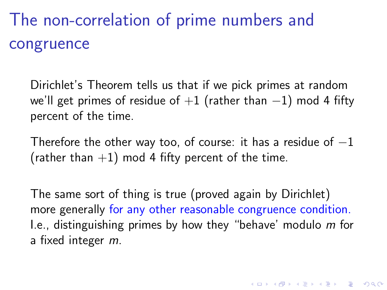# The non-correlation of prime numbers and congruence

Dirichlet's Theorem tells us that if we pick primes at random we'll get primes of residue of  $+1$  (rather than  $-1$ ) mod 4 fifty percent of the time.

Therefore the other way too, of course: it has a residue of  $-1$ (rather than  $+1$ ) mod 4 fifty percent of the time.

The same sort of thing is true (proved again by Dirichlet) more generally for any other reasonable congruence condition. I.e., distinguishing primes by how they "behave' modulo m for a fixed integer m.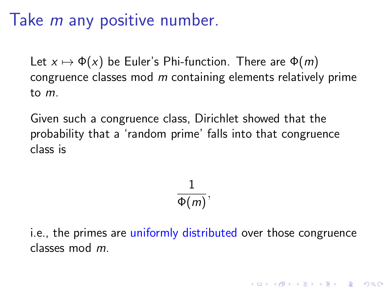### Take *m* any positive number.

Let  $x \mapsto \Phi(x)$  be Euler's Phi-function. There are  $\Phi(m)$ congruence classes mod  $m$  containing elements relatively prime to m.

Given such a congruence class, Dirichlet showed that the probability that a 'random prime' falls into that congruence class is

$$
\frac{1}{\Phi(m)},
$$

i.e., the primes are uniformly distributed over those congruence classes mod m.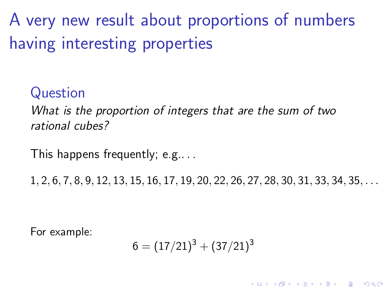A very new result about proportions of numbers having interesting properties

### Question

What is the proportion of integers that are the sum of two rational cubes?

This happens frequently; e.g.. . .

1, 2, 6, 7, 8, 9, 12, 13, 15, 16, 17, 19, 20, 22, 26, 27, 28, 30, 31, 33, 34, 35, . . .

For example:

$$
6=(17/21)^3+(37/21)^3\\
$$

**KORKAR KERKER SAGA**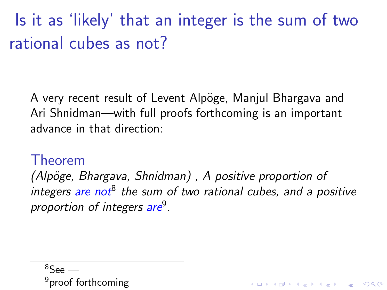Is it as 'likely' that an integer is the sum of two rational cubes as not?

A very recent result of Levent Alpöge, Manjul Bhargava and Ari Shnidman—with full proofs forthcoming is an important advance in that direction:

#### Theorem

 $(Alpöge, Bhargava, Shnidman)$ , A positive proportion of integers are not<sup>8</sup> the sum of two rational cubes, and a positive proportion of integers are<sup>9</sup>.

**KORKARYKERKER POLO** 

$$
^{8} \text{See} \longrightarrow
$$
  
<sup>9</sup>proof forthcoming